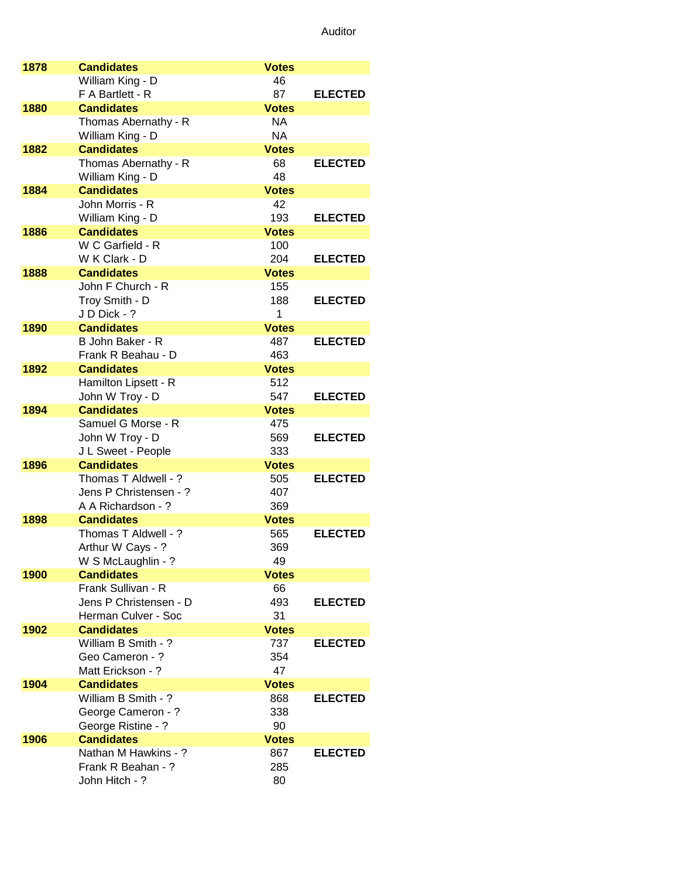| 1878 | <b>Candidates</b>                       | <b>Votes</b>       |                |
|------|-----------------------------------------|--------------------|----------------|
|      | William King - D                        | 46                 |                |
|      | F A Bartlett - R                        | 87                 | <b>ELECTED</b> |
| 1880 | <b>Candidates</b>                       | <b>Votes</b>       |                |
|      | Thomas Abernathy - R                    | NA                 |                |
|      | William King - D                        | NA                 |                |
| 1882 | <b>Candidates</b>                       | <b>Votes</b>       |                |
|      | Thomas Abernathy - R                    | 68                 | <b>ELECTED</b> |
| 1884 | William King - D<br><b>Candidates</b>   | 48<br><b>Votes</b> |                |
|      | John Morris - R                         | 42                 |                |
|      | William King - D                        | 193                | <b>ELECTED</b> |
| 1886 | <b>Candidates</b>                       | <b>Votes</b>       |                |
|      | W C Garfield - R                        | 100                |                |
|      | W K Clark - D                           | 204                | <b>ELECTED</b> |
| 1888 | <b>Candidates</b>                       | <b>Votes</b>       |                |
|      | John F Church - R                       | 155                |                |
|      | Troy Smith - D                          | 188                | <b>ELECTED</b> |
|      | J D Dick - ?                            | 1                  |                |
| 1890 | <b>Candidates</b>                       | <b>Votes</b>       |                |
|      | B John Baker - R                        | 487                | <b>ELECTED</b> |
|      | Frank R Beahau - D                      | 463                |                |
| 1892 | <b>Candidates</b>                       | <b>Votes</b>       |                |
|      | Hamilton Lipsett - R                    | 512                |                |
|      | John W Troy - D                         | 547                | <b>ELECTED</b> |
| 1894 | <b>Candidates</b>                       | <b>Votes</b>       |                |
|      | Samuel G Morse - R<br>John W Troy - D   | 475<br>569         | <b>ELECTED</b> |
|      | J L Sweet - People                      | 333                |                |
| 1896 | <b>Candidates</b>                       | <b>Votes</b>       |                |
|      | Thomas T Aldwell - ?                    | 505                | <b>ELECTED</b> |
|      | Jens P Christensen - ?                  | 407                |                |
|      | A A Richardson - ?                      | 369                |                |
| 1898 | <b>Candidates</b>                       | <b>Votes</b>       |                |
|      | Thomas T Aldwell - ?                    | 565                | <b>ELECTED</b> |
|      | Arthur W Cays - ?                       | 369                |                |
|      | W S McLaughlin - ?                      | 49                 |                |
| 1900 | <b>Candidates</b><br>Frank Sullivan - R | <b>Votes</b>       |                |
|      | Jens P Christensen - D                  | 66<br>493          | <b>ELECTED</b> |
|      | Herman Culver - Soc                     | 31                 |                |
| 1902 | <b>Candidates</b>                       | <b>Votes</b>       |                |
|      | William B Smith - ?                     | 737                | <b>ELECTED</b> |
|      | Geo Cameron - ?                         | 354                |                |
|      | Matt Erickson - ?                       | 47                 |                |
| 1904 | <b>Candidates</b>                       | <b>Votes</b>       |                |
|      | William B Smith - ?                     | 868                | <b>ELECTED</b> |
|      | George Cameron - ?                      | 338                |                |
|      | George Ristine - ?                      | 90                 |                |
| 1906 | <b>Candidates</b>                       | <b>Votes</b>       |                |
|      | Nathan M Hawkins - ?                    | 867                | <b>ELECTED</b> |
|      | Frank R Beahan - ?                      | 285                |                |
|      | John Hitch - ?                          | 80                 |                |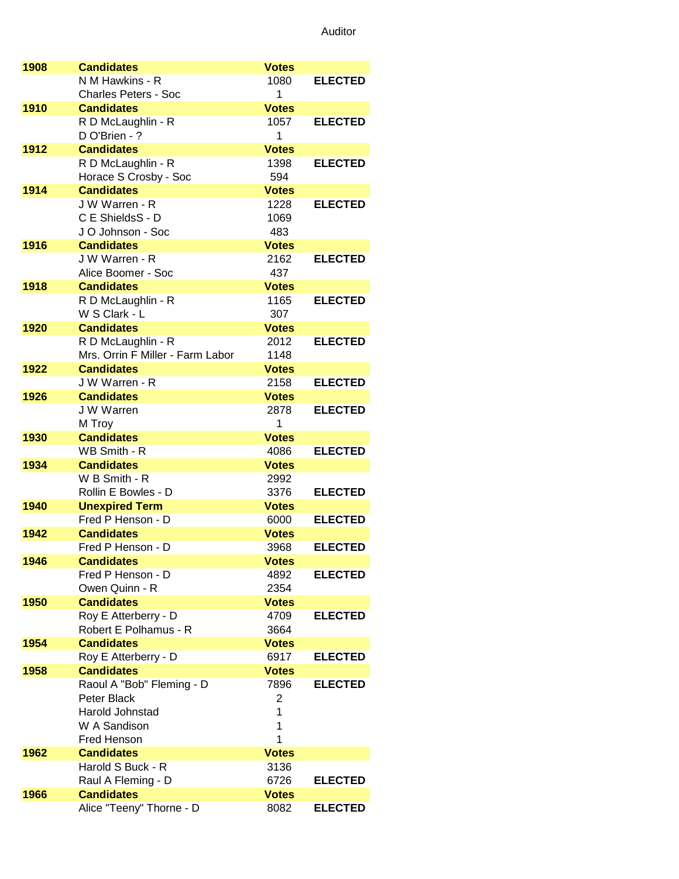| 1908 | <b>Candidates</b>                                      | <b>Votes</b>         |                |
|------|--------------------------------------------------------|----------------------|----------------|
|      | N M Hawkins - R                                        | 1080                 | <b>ELECTED</b> |
|      | <b>Charles Peters - Soc</b>                            | 1                    |                |
| 1910 | <b>Candidates</b>                                      | <b>Votes</b>         |                |
|      | R D McLaughlin - R                                     | 1057                 | <b>ELECTED</b> |
|      | D O'Brien - ?                                          | 1                    |                |
| 1912 | <b>Candidates</b>                                      | <b>Votes</b>         |                |
|      | R D McLaughlin - R                                     | 1398                 | <b>ELECTED</b> |
|      | Horace S Crosby - Soc                                  | 594                  |                |
| 1914 | <b>Candidates</b>                                      | <b>Votes</b>         |                |
|      | J W Warren - R                                         | 1228                 | <b>ELECTED</b> |
|      | C E ShieldsS - D                                       | 1069                 |                |
|      | J O Johnson - Soc                                      | 483                  |                |
| 1916 | <b>Candidates</b>                                      | <b>Votes</b>         |                |
|      | J W Warren - R                                         | 2162                 | <b>ELECTED</b> |
|      | Alice Boomer - Soc                                     | 437                  |                |
| 1918 | <b>Candidates</b>                                      | <b>Votes</b>         |                |
|      | R D McLaughlin - R                                     | 1165                 | <b>ELECTED</b> |
| 1920 | W S Clark - L<br><b>Candidates</b>                     | 307                  |                |
|      |                                                        | <b>Votes</b><br>2012 | <b>ELECTED</b> |
|      | R D McLaughlin - R<br>Mrs. Orrin F Miller - Farm Labor | 1148                 |                |
| 1922 | <b>Candidates</b>                                      | <b>Votes</b>         |                |
|      | J W Warren - R                                         | 2158                 | <b>ELECTED</b> |
| 1926 | <b>Candidates</b>                                      | <b>Votes</b>         |                |
|      | J W Warren                                             | 2878                 | <b>ELECTED</b> |
|      | M Troy                                                 | 1                    |                |
| 1930 | <b>Candidates</b>                                      | <b>Votes</b>         |                |
|      | WB Smith - R                                           | 4086                 | <b>ELECTED</b> |
| 1934 | <b>Candidates</b>                                      | <b>Votes</b>         |                |
|      | W B Smith - R                                          | 2992                 |                |
|      | Rollin E Bowles - D                                    | 3376                 | <b>ELECTED</b> |
| 1940 | <b>Unexpired Term</b>                                  | <b>Votes</b>         |                |
|      | Fred P Henson - D                                      | 6000                 | <b>ELECTED</b> |
| 1942 | <b>Candidates</b>                                      | <b>Votes</b>         |                |
|      | Fred P Henson - D                                      | 3968                 | <b>ELECTED</b> |
| 1946 | <b>Candidates</b>                                      | Votes                |                |
|      | Fred P Henson - D                                      | 4892                 | <b>ELECTED</b> |
|      | Owen Quinn - R                                         | 2354                 |                |
| 1950 | <b>Candidates</b>                                      | <b>Votes</b><br>4709 | <b>ELECTED</b> |
|      | Roy E Atterberry - D<br>Robert E Polhamus - R          | 3664                 |                |
| 1954 | <b>Candidates</b>                                      | <b>Votes</b>         |                |
|      | Roy E Atterberry - D                                   | 6917                 | <b>ELECTED</b> |
| 1958 | <b>Candidates</b>                                      | <b>Votes</b>         |                |
|      | Raoul A "Bob" Fleming - D                              | 7896                 | <b>ELECTED</b> |
|      | Peter Black                                            | 2                    |                |
|      | Harold Johnstad                                        | 1                    |                |
|      | W A Sandison                                           | 1                    |                |
|      | Fred Henson                                            | 1                    |                |
| 1962 | <b>Candidates</b>                                      | <b>Votes</b>         |                |
|      | Harold S Buck - R                                      | 3136                 |                |
|      | Raul A Fleming - D                                     | 6726                 | <b>ELECTED</b> |
| 1966 | <b>Candidates</b>                                      | <b>Votes</b>         |                |
|      | Alice "Teeny" Thorne - D                               | 8082                 | <b>ELECTED</b> |